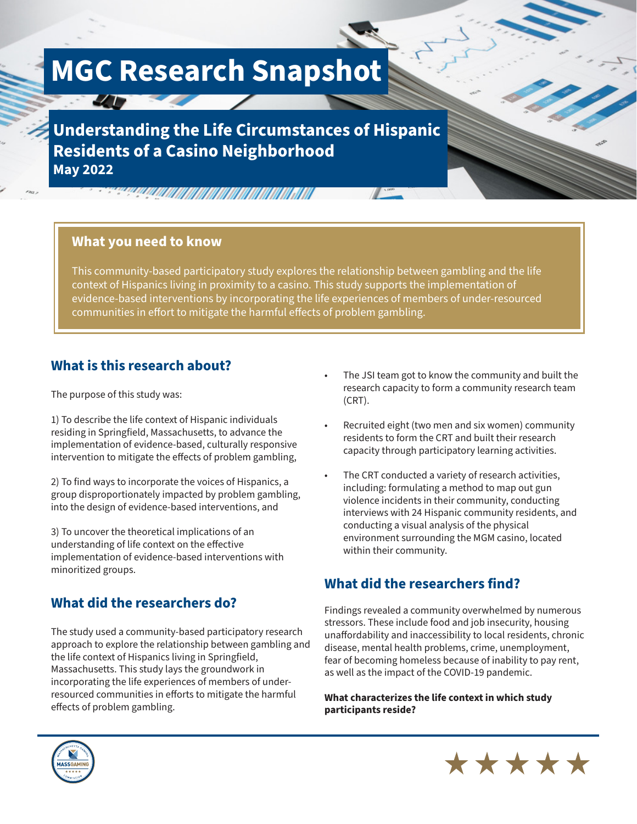# **MGC Research Snapshot**

 $\frac{1}{2}$ 

**Understanding the Life Circumstances of Hispanic Residents of a Casino Neighborhood May 2022**

### **What you need to know**

This community-based participatory study explores the relationship between gambling and the life context of Hispanics living in proximity to a casino. This study supports the implementation of evidence-based interventions by incorporating the life experiences of members of under-resourced communities in effort to mitigate the harmful effects of problem gambling.

## **What is this research about?**

The purpose of this study was:

1) To describe the life context of Hispanic individuals residing in Springfield, Massachusetts, to advance the implementation of evidence-based, culturally responsive intervention to mitigate the effects of problem gambling,

2) To find ways to incorporate the voices of Hispanics, a group disproportionately impacted by problem gambling, into the design of evidence-based interventions, and

3) To uncover the theoretical implications of an understanding of life context on the effective implementation of evidence-based interventions with minoritized groups.

## **What did the researchers do?**

The study used a community-based participatory research approach to explore the relationship between gambling and the life context of Hispanics living in Springfield, Massachusetts. This study lays the groundwork in incorporating the life experiences of members of underresourced communities in efforts to mitigate the harmful effects of problem gambling.

- The JSI team got to know the community and built the research capacity to form a community research team (CRT).
- Recruited eight (two men and six women) community residents to form the CRT and built their research capacity through participatory learning activities.
- The CRT conducted a variety of research activities, including: formulating a method to map out gun violence incidents in their community, conducting interviews with 24 Hispanic community residents, and conducting a visual analysis of the physical environment surrounding the MGM casino, located within their community.

# **What did the researchers find?**

Findings revealed a community overwhelmed by numerous stressors. These include food and job insecurity, housing unaffordability and inaccessibility to local residents, chronic disease, mental health problems, crime, unemployment, fear of becoming homeless because of inability to pay rent, as well as the impact of the COVID-19 pandemic.

\*\*\*\*\*

**What characterizes the life context in which study participants reside?**